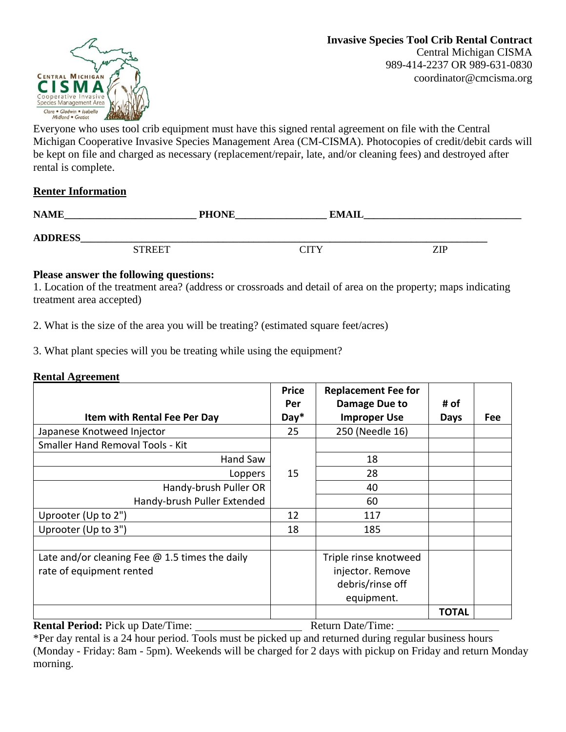

Everyone who uses tool crib equipment must have this signed rental agreement on file with the Central Michigan Cooperative Invasive Species Management Area (CM-CISMA). Photocopies of credit/debit cards will be kept on file and charged as necessary (replacement/repair, late, and/or cleaning fees) and destroyed after rental is complete.

## **Renter Information**

| <b>NAME</b>    | <b>PHONE</b> | <b>EMAII</b> |     |
|----------------|--------------|--------------|-----|
| <b>ADDRESS</b> |              |              |     |
| <b>STREET</b>  |              | CITY         | ZIP |

## **Please answer the following questions:**

1. Location of the treatment area? (address or crossroads and detail of area on the property; maps indicating treatment area accepted)

2. What is the size of the area you will be treating? (estimated square feet/acres)

3. What plant species will you be treating while using the equipment?

## **Rental Agreement**

|                                                       | <b>Price</b>  | <b>Replacement Fee for</b>           |              |     |
|-------------------------------------------------------|---------------|--------------------------------------|--------------|-----|
| Item with Rental Fee Per Day                          | Per<br>$Day*$ | Damage Due to<br><b>Improper Use</b> | # of<br>Days | Fee |
|                                                       |               |                                      |              |     |
| Japanese Knotweed Injector                            | 25            | 250 (Needle 16)                      |              |     |
| <b>Smaller Hand Removal Tools - Kit</b>               |               |                                      |              |     |
| Hand Saw                                              |               | 18                                   |              |     |
| Loppers                                               | 15            | 28                                   |              |     |
| Handy-brush Puller OR                                 |               | 40                                   |              |     |
| Handy-brush Puller Extended                           |               | 60                                   |              |     |
| Uprooter (Up to 2")                                   | 12            | 117                                  |              |     |
| Uprooter (Up to 3")                                   | 18            | 185                                  |              |     |
|                                                       |               |                                      |              |     |
| Late and/or cleaning Fee $\omega$ 1.5 times the daily |               | Triple rinse knotweed                |              |     |
| rate of equipment rented                              |               | injector. Remove                     |              |     |
|                                                       |               | debris/rinse off                     |              |     |
|                                                       |               | equipment.                           |              |     |
|                                                       |               |                                      | <b>TOTAL</b> |     |

**Rental Period:** Pick up Date/Time: Return Date/Time:

\*Per day rental is a 24 hour period. Tools must be picked up and returned during regular business hours (Monday - Friday: 8am - 5pm). Weekends will be charged for 2 days with pickup on Friday and return Monday morning.